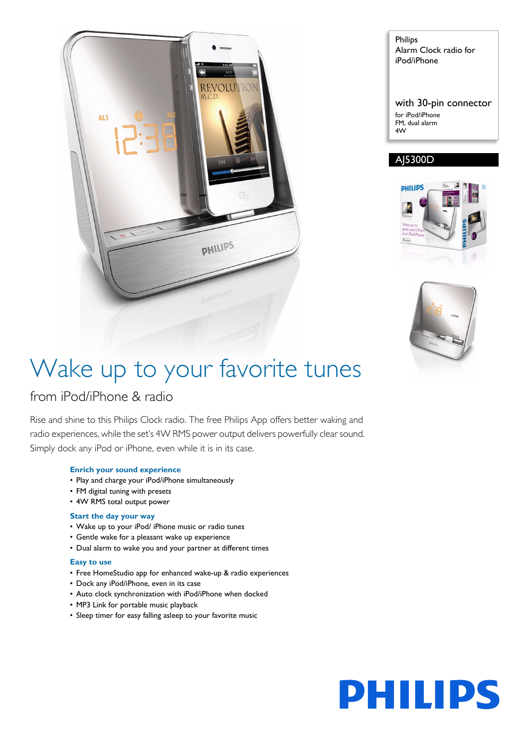

Philips Alarm Clock radio for iPod/iPhone

with 30-pin connector for iPod/iPhone FM, dual alarm 4W

### AJ5300D





# Wake up to your favorite tunes

### from iPod/iPhone & radio

Rise and shine to this Philips Clock radio. The free Philips App offers better waking and radio experiences, while the set's 4W RMS power output delivers powerfully clear sound. Simply dock any iPod or iPhone, even while it is in its case.

### **Enrich your sound experience**

- Play and charge your iPod/iPhone simultaneously
- FM digital tuning with presets
- 4W RMS total output power

### **Start the day your way**

- Wake up to your iPod/ iPhone music or radio tunes
- Gentle wake for a pleasant wake up experience
- Dual alarm to wake you and your partner at different times

### **Easy to use**

- Free HomeStudio app for enhanced wake-up & radio experiences
- Dock any iPod/iPhone, even in its case
- Auto clock synchronization with iPod/iPhone when docked
- MP3 Link for portable music playback
- Sleep timer for easy falling asleep to your favorite music

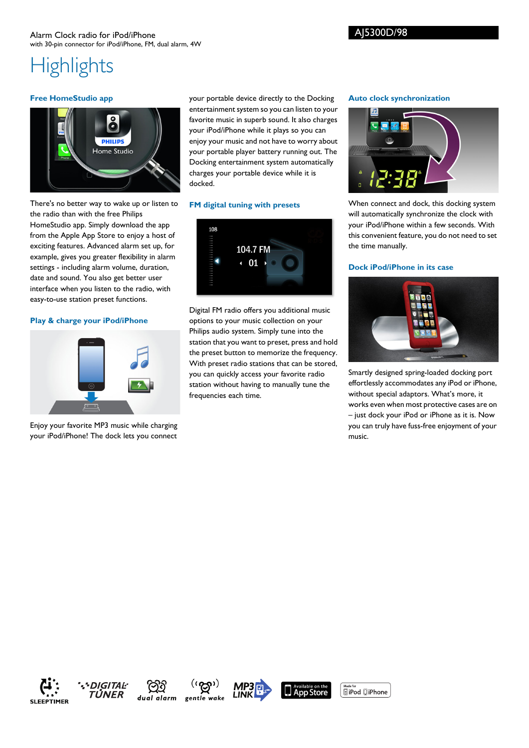## **Highlights**

### **Free HomeStudio app**



your portable device directly to the Docking entertainment system so you can listen to your favorite music in superb sound. It also charges your iPod/iPhone while it plays so you can enjoy your music and not have to worry about your portable player battery running out. The Docking entertainment system automatically charges your portable device while it is docked.

### **FM digital tuning with presets**



Digital FM radio offers you additional music options to your music collection on your Philips audio system. Simply tune into the station that you want to preset, press and hold the preset button to memorize the frequency. With preset radio stations that can be stored, you can quickly access your favorite radio station without having to manually tune the frequencies each time.

### **Auto clock synchronization**



When connect and dock, this docking system will automatically synchronize the clock with your iPod/iPhone within a few seconds. With this convenient feature, you do not need to set the time manually.

### **Dock iPod/iPhone in its case**



Smartly designed spring-loaded docking port effortlessly accommodates any iPod or iPhone, without special adaptors. What's more, it works even when most protective cases are on – just dock your iPod or iPhone as it is. Now you can truly have fuss-free enjoyment of your music.

There's no better way to wake up or listen to the radio than with the free Philips HomeStudio app. Simply download the app from the Apple App Store to enjoy a host of exciting features. Advanced alarm set up, for example, gives you greater flexibility in alarm settings - including alarm volume, duration, date and sound. You also get better user interface when you listen to the radio, with easy-to-use station preset functions.

### **Play & charge your iPod/iPhone**



Enjoy your favorite MP3 music while charging your iPod/iPhone! The dock lets you connect











 $\underbrace{\text{Made for}}$